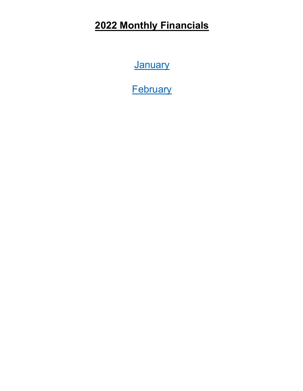# <span id="page-0-0"></span>**2022 Monthly Financials**

**[January](#page-1-0)** 

**[February](#page-6-0)**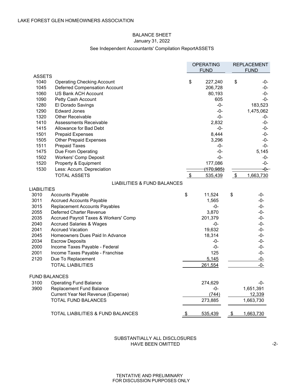# BALANCE SHEET January 31, 2022

# See Independent Accountants' Compilation ReportASSETS

<span id="page-1-0"></span>

|                      |                                              |            | <b>OPERATING</b><br><b>FUND</b> |                         | <b>REPLACEMENT</b><br><b>FUND</b> |
|----------------------|----------------------------------------------|------------|---------------------------------|-------------------------|-----------------------------------|
| <b>ASSETS</b>        |                                              |            |                                 |                         |                                   |
| 1040                 | <b>Operating Checking Account</b>            | \$         | 227,240                         | \$                      | -0-                               |
| 1045                 | Deferred Compensation Account                |            | 206,728                         |                         | $-0-$                             |
| 1060                 | US Bank ACH Account                          |            | 80,193                          |                         | -0-                               |
| 1090                 | Petty Cash Account                           |            | 605                             |                         | $-0-$                             |
| 1280                 | El Dorado Savings                            |            | -0-                             |                         | 183,523                           |
| 1290                 | <b>Edward Jones</b>                          |            | -0-                             |                         | 1,475,062                         |
| 1320                 | <b>Other Receivable</b>                      |            | $-0-$                           |                         | -0-                               |
| 1410                 | Assessments Receivable                       |            | 2,832                           |                         | -0-                               |
| 1415                 | Allowance for Bad Debt                       |            | -0-                             |                         | -0-                               |
| 1501                 | <b>Prepaid Expenses</b>                      |            | 8,444                           |                         | -0-                               |
| 1505                 | <b>Other Prepaid Expenses</b>                |            | 3,296                           |                         | -0-                               |
| 1511                 | <b>Prepaid Taxes</b>                         |            | -0-                             |                         | -0-                               |
| 1475                 | Due From Operating                           |            | -0-                             |                         | 5,145                             |
| 1502                 | <b>Workers' Comp Deposit</b>                 |            | $-0-$                           |                         | -0-                               |
| 1520                 | Property & Equipment                         |            | 177,086                         |                         | -0-                               |
| 1530                 | Less: Accum. Depreciation                    |            | <del>(170,985)</del>            |                         | <del>-0--</del>                   |
|                      | <b>TOTAL ASSETS</b>                          | $\sqrt{3}$ | 535,439                         | $\sqrt[6]{\frac{1}{2}}$ | 1,663,730                         |
|                      | LIABILITIES & FUND BALANCES                  |            |                                 |                         |                                   |
| LIABILITIES          |                                              |            |                                 |                         |                                   |
| 3010                 | <b>Accounts Payable</b>                      | \$         | 11,524                          | \$                      | -0-                               |
| 3011                 | <b>Accrued Accounts Payable</b>              |            | 1,565                           |                         | $-0-$                             |
| 3015                 | <b>Replacement Accounts Payables</b>         |            | -0-                             |                         | -0-                               |
| 2055                 | Deferred Charter Revenue                     |            | 3,870                           |                         | -0-                               |
| 2035                 | Accrued Payroll Taxes & Workers' Comp        |            | 201,379                         |                         | $-0-$                             |
| 2040                 | <b>Accrued Salaries &amp; Wages</b>          |            | -0-                             |                         | -0-                               |
| 2041                 | <b>Accrued Vacation</b>                      |            | 19,632                          |                         | -0-                               |
| 2045                 | Homeowners Dues Paid In Advance              |            | 18,314                          |                         | -0-                               |
| 2034                 | <b>Escrow Deposits</b>                       |            | -0-                             |                         | -0-                               |
| 2000                 | Income Taxes Payable - Federal               |            | $-0-$                           |                         | -0-                               |
| 2001                 | Income Taxes Payable - Franchise             |            | 125                             |                         | -0-                               |
| 2120                 | Due To Replacement                           |            | 5,145                           |                         | $-0-$                             |
|                      | <b>TOTAL LIABILITIES</b>                     |            | 261,554                         |                         | -0-                               |
|                      |                                              |            |                                 |                         |                                   |
| <b>FUND BALANCES</b> |                                              |            |                                 |                         |                                   |
| 3100                 | <b>Operating Fund Balance</b>                |            | 274,629                         |                         | -0-                               |
| 3900                 | <b>Replacement Fund Balance</b>              |            | -0-                             |                         | 1,651,391                         |
|                      | Current Year Net Revenue (Expense)           |            | (744)                           |                         | 12,339                            |
|                      | <b>TOTAL FUND BALANCES</b>                   |            | 273,885                         |                         | 1,663,730                         |
|                      |                                              |            |                                 |                         |                                   |
|                      | <b>TOTAL LIABILITIES &amp; FUND BALANCES</b> | \$         | 535,439                         | \$                      | 1,663,730                         |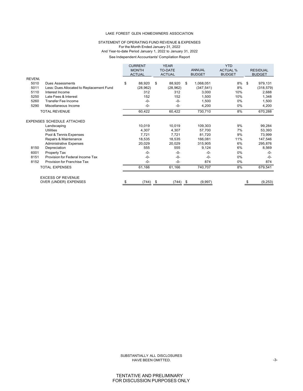## STATEMENT OF OPERATING FUND REVENUE & EXPENSES For the Month Ended January 31, 2022 And Year-to-date Period January 1, 2022 to January 31, 2022 See Independent Accountants' Compilation Report

| <b>ANNUAL</b><br><b>TO-DATE</b><br><b>ACTUAL %</b><br><b>MONTH</b><br><b>ACTUAL</b><br><b>ACTUAL</b><br><b>BUDGET</b><br><b>BUDGET</b><br><b>REVENL</b><br>\$<br>8%<br>5010<br>88,920<br>\$<br>88,920<br>1,068,051<br>\$<br>\$<br><b>Dues Assessments</b><br>5011<br>8%<br>Less: Dues Allocated to Replacement Fund<br>(28, 962)<br>(28, 962)<br>(347, 541)<br>312<br>312<br>5110<br>Interest Income<br>3,000<br>10%<br>5250<br>Late Fees & Interest<br>152<br>152<br>10%<br>1,500<br>5260<br><b>Transfer Fee Income</b><br>$-0-$<br>0%<br>$-0-$<br>1,500<br>5290<br>Miscellaneous Income<br>$-0-$<br>$-0-$<br>4,200<br>0%<br>60,422<br><b>TOTAL REVENUE</b><br>60,422<br>730,710<br>8%<br><b>EXPENSES SCHEDULE ATTACHED</b><br>10,019<br>10,019<br>9%<br>109,303<br>Landscaping<br>4,307<br>7%<br><b>Utilities</b><br>4,307<br>57,700 |                 |
|----------------------------------------------------------------------------------------------------------------------------------------------------------------------------------------------------------------------------------------------------------------------------------------------------------------------------------------------------------------------------------------------------------------------------------------------------------------------------------------------------------------------------------------------------------------------------------------------------------------------------------------------------------------------------------------------------------------------------------------------------------------------------------------------------------------------------------------|-----------------|
|                                                                                                                                                                                                                                                                                                                                                                                                                                                                                                                                                                                                                                                                                                                                                                                                                                        | <b>RESIDUAL</b> |
|                                                                                                                                                                                                                                                                                                                                                                                                                                                                                                                                                                                                                                                                                                                                                                                                                                        | <b>BUDGET</b>   |
|                                                                                                                                                                                                                                                                                                                                                                                                                                                                                                                                                                                                                                                                                                                                                                                                                                        |                 |
|                                                                                                                                                                                                                                                                                                                                                                                                                                                                                                                                                                                                                                                                                                                                                                                                                                        | 979,131         |
|                                                                                                                                                                                                                                                                                                                                                                                                                                                                                                                                                                                                                                                                                                                                                                                                                                        | (318, 579)      |
|                                                                                                                                                                                                                                                                                                                                                                                                                                                                                                                                                                                                                                                                                                                                                                                                                                        | 2,688           |
|                                                                                                                                                                                                                                                                                                                                                                                                                                                                                                                                                                                                                                                                                                                                                                                                                                        | 1,348           |
|                                                                                                                                                                                                                                                                                                                                                                                                                                                                                                                                                                                                                                                                                                                                                                                                                                        | 1,500           |
|                                                                                                                                                                                                                                                                                                                                                                                                                                                                                                                                                                                                                                                                                                                                                                                                                                        | 4,200           |
|                                                                                                                                                                                                                                                                                                                                                                                                                                                                                                                                                                                                                                                                                                                                                                                                                                        | 670,288         |
|                                                                                                                                                                                                                                                                                                                                                                                                                                                                                                                                                                                                                                                                                                                                                                                                                                        |                 |
|                                                                                                                                                                                                                                                                                                                                                                                                                                                                                                                                                                                                                                                                                                                                                                                                                                        | 99,284          |
|                                                                                                                                                                                                                                                                                                                                                                                                                                                                                                                                                                                                                                                                                                                                                                                                                                        | 53,393          |
| 7.721<br>9%<br>Pool & Tennis Expenses<br>7,721<br>81.720                                                                                                                                                                                                                                                                                                                                                                                                                                                                                                                                                                                                                                                                                                                                                                               | 73,999          |
| Repairs & Maintenance<br>18,535<br>18,535<br>166,081<br>11%                                                                                                                                                                                                                                                                                                                                                                                                                                                                                                                                                                                                                                                                                                                                                                            | 147,546         |
| 6%<br><b>Administrative Expenses</b><br>20,029<br>20,029<br>315.905                                                                                                                                                                                                                                                                                                                                                                                                                                                                                                                                                                                                                                                                                                                                                                    | 295,876         |
| 555<br>8150<br>555<br>9,124<br>6%<br>Depreciation                                                                                                                                                                                                                                                                                                                                                                                                                                                                                                                                                                                                                                                                                                                                                                                      | 8,569           |
| 6001<br>0%<br>Property Tax<br>-0-<br>$-0-$<br>$-0-$                                                                                                                                                                                                                                                                                                                                                                                                                                                                                                                                                                                                                                                                                                                                                                                    | $-0-$           |
| 8151<br>Provision for Federal Income Tax<br>$-0-$<br>0%<br>-0-<br>$-0-$                                                                                                                                                                                                                                                                                                                                                                                                                                                                                                                                                                                                                                                                                                                                                                | $-0-$           |
| 8152<br>Provision for Franchise Tax<br>$-0-$<br>874<br>0%<br>-0-                                                                                                                                                                                                                                                                                                                                                                                                                                                                                                                                                                                                                                                                                                                                                                       | 874             |
| 61,166<br>8%<br><b>TOTAL EXPENSES</b><br>61,166<br>740,707                                                                                                                                                                                                                                                                                                                                                                                                                                                                                                                                                                                                                                                                                                                                                                             | 679,541         |
| <b>EXCESS OF REVENUE</b>                                                                                                                                                                                                                                                                                                                                                                                                                                                                                                                                                                                                                                                                                                                                                                                                               |                 |
| OVER (UNDER) EXPENSES<br>$(744)$ \$<br>(9,997)<br>$(744)$ \$                                                                                                                                                                                                                                                                                                                                                                                                                                                                                                                                                                                                                                                                                                                                                                           | (9,253)         |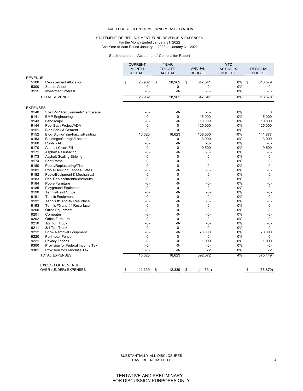## STATEMENT OF REPLACEMENT FUND REVENUE & EXPENSES For the Month Ended January 31, 2022

And Year-to-date Period January 1, 2022 to January 31, 2022

#### See Independent Accountants' Compilation Report

|                 |                                                   | <b>CURRENT</b> | <b>YEAR</b><br><b>YTD</b> |                |                 |                 |                 |
|-----------------|---------------------------------------------------|----------------|---------------------------|----------------|-----------------|-----------------|-----------------|
|                 |                                                   | <b>MONTH</b>   |                           | <b>TO-DATE</b> | <b>ANNUAL</b>   | <b>ACTUAL %</b> | <b>RESIDUAL</b> |
|                 |                                                   | <b>ACTUAL</b>  |                           | <b>ACTUAL</b>  | <b>BUDGET</b>   | <b>BUDGET</b>   | <b>BUDGET</b>   |
| <b>REVENUE</b>  |                                                   |                |                           |                |                 |                 |                 |
| 5100            | <b>Replacement Allocation</b>                     | \$<br>28,962   | \$                        | 28,962         | \$<br>347,541   | 8%              | \$<br>318,579   |
| 5300            | Sale of Asset                                     | $-0-$          |                           | $-0-$          | $-0-$           | 0%              | $-0-$           |
| 3115            | Investment Interest                               | $-0-$          |                           | $-0-$          | $-0-$           | 0%              | $-0-$           |
|                 | <b>TOTAL REVENUE</b>                              | 28,962         |                           | 28,962         | 347,541         | 8%              | 318,579         |
| <b>EXPENSES</b> |                                                   |                |                           |                |                 |                 |                 |
| 9140            | Site BMP Requirements/Landscape                   | $-0-$          |                           | $-0-$          | $-0-$           | 0%              | $\mathbf 0$     |
| 9141            | <b>BMP</b> Engineering                            | $-0-$          |                           | $-0-$          | 15.000          | 0%              | 15.000          |
| 9143            | Landscape                                         | $-0-$          |                           | $-0-$          | 10,000          | 0%              | 10,000          |
| 9144            | Pool Bath Project/ADA                             | $-0-$          |                           | -0-            | 125,000         | 0%              | 125,000         |
| 9151            | <b>Bldg Brick &amp; Cement</b>                    | $-0-$          |                           | $-0-$          | $-0-$           | 0%              | $-0-$           |
| 9152            | Bldg Siding/Trim/Fascia/Painting                  | 16,623         |                           | 16,623         | 158,500         | 10%             | 141,877         |
| 9153            | Buildings/Storage/Lockers                         | $-0-$          |                           | -0-            | 3,000           | 0%              | 3,000           |
| 9160            | Roofs - All                                       | $-0-$          |                           | $-0-$          | $-0-$           | 0%              | $-0-$           |
| 9170            | <b>Asphalt Crack Fill</b>                         | $-0-$          |                           | -0-            | 9,500           | 0%              | 9,500           |
| 9171            | <b>Asphalt Resurfacing</b>                        | $-0-$          |                           | -0-            | -0-             | 0%              | $-0-$           |
| 9173            | <b>Asphalt Sealing Striping</b>                   | $-0-$          |                           | $-0-$          | $-0-$           | 0%              | $-0-$           |
| 9174            | <b>Foot Paths</b>                                 | $-0-$          |                           | $-0-$          | $-0-$           | 0%              | $-0-$           |
| 9180            | Pools/Replastering/Tile                           | $-0-$          |                           | $-0-$          | $-0-$           | 0%              | $-0-$           |
| 9181            | Pools/Decking/Fences/Gates                        | $-0-$          |                           | -0-            | $-0-$           | 0%              | $-0-$           |
| 9182            | Pools/Equipment & Mechanical                      | $-0-$          |                           | $-0-$          | $-0-$           | 0%              | $-0-$           |
| 9183            | Pool Replacement/Kids/Adults                      | $-0-$          |                           | $-0-$          | $-0-$           | 0%              | $-0-$           |
| 9184            | Pools-Furniture                                   | $-0-$          |                           | $-0-$          | $-0-$           | 0%              | $-0-$           |
| 9185            | Playground Equipment                              | $-0-$          |                           | $-0-$          | $-0-$           | 0%              | $-0-$           |
| 9190            | Tennis/Paint Stripe                               | $-0-$          |                           | -0-            | $-0-$           | 0%              | $-0-$           |
| 9191            | <b>Tennis Equipment</b>                           | $-0-$          |                           | $-0-$          | $-0-$           | 0%              | $-0-$           |
| 9192            | Tennis #1 and #2 Resurface                        | $-0-$          |                           | $-0-$          | $-0-$           | 0%              | $-0-$           |
| 9193            | Tennis #3 and #4 Resurface                        | $-0-$          |                           | $-0-$          | $-0-$           | 0%              | $-0-$           |
| 9200            | Office Equipment                                  | $-0-$          |                           | -0-            | $-0-$           | 0%              | $-0-$           |
| 9201            | Computer                                          | $-0-$          |                           | -0-            | $-0-$           | 0%              | $-0-$           |
| 9202            | <b>Office Furniture</b>                           | $-0-$          |                           | $-0-$          | $-0-$           | 0%              | $-0-$           |
| 9210            | 1/2 Ton Truck                                     | $-0-$          |                           | -0-            | $-0-$           | 0%              | $-0-$           |
| 9211            | 3/4 Ton Truck                                     | $-0-$          |                           | $-0-$          | $-0-$           | 0%              | $-0-$           |
| 9212            | Snow Removal Equipment                            | $-0-$          |                           | $-0-$          | 70,000          | 0%              | 70,000          |
| 9220            | <b>Perimeter Fence</b>                            | $-0-$          |                           | $-0-$          | $-0-$           | 0%              | $-0-$           |
| 9221            | <b>Privacy Fences</b>                             | $-0-$          |                           | -0-            | 1,000           | 0%              | 1,000           |
| 9300            | Provision for Federal Income Tax                  | $-0-$          |                           | $-0-$          | $-0-$           | 0%              | $-0-$           |
| 9301            | Provision for Franchise Tax                       | $-0-$          |                           | $-0-$          | 72              | 0%              | 72              |
|                 |                                                   |                |                           |                |                 |                 |                 |
|                 | <b>TOTAL EXPENSES</b>                             | 16,623         |                           | 16,623         | 392,072         | 4%              | 375,449         |
|                 |                                                   |                |                           |                |                 |                 |                 |
|                 | <b>EXCESS OF REVENUE</b><br>OVER (UNDER) EXPENSES | \$<br>12,339   | \$                        | 12,339         | \$<br>(44, 531) |                 | \$<br>(56, 870) |
|                 |                                                   |                |                           |                |                 |                 |                 |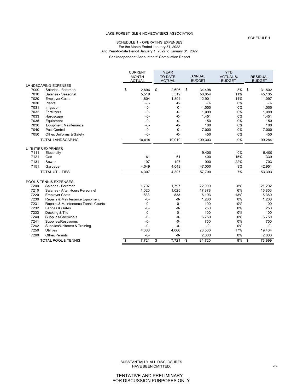#### SCHEDULE 1 - OPERATING EXPENSES For the Month Ended January 31, 2022 And Year-to-date Period January 1, 2022 to January 31, 2022 See Independent Accountants' Compilation Report

|      |                                     | <b>CURRENT</b> | <b>YEAR</b>    | <b>YTD</b> |               |                 |               |                 |
|------|-------------------------------------|----------------|----------------|------------|---------------|-----------------|---------------|-----------------|
|      |                                     | <b>MONTH</b>   | <b>TO-DATE</b> |            | <b>ANNUAL</b> | <b>ACTUAL %</b> |               | <b>RESIDUAL</b> |
|      |                                     | <b>ACTUAL</b>  | <b>ACTUAL</b>  |            | <b>BUDGET</b> | <b>BUDGET</b>   | <b>BUDGET</b> |                 |
|      | <b>LANDSCAPING EXPENSES</b>         |                |                |            |               |                 |               |                 |
| 7000 | Salaries - Foreman                  | \$<br>2.696    | \$<br>2,696    | \$         | 34,498        | 8%              | \$            | 31,802          |
| 7010 | Salaries - Seasonal                 | 5,519          | 5,519          |            | 50,654        | 11%             |               | 45,135          |
| 7020 | <b>Employer Costs</b>               | 1,804          | 1,804          |            | 12,901        | 14%             |               | 11,097          |
| 7030 | Plants                              | $-0-$          | $-0-$          |            | $-0-$         | 0%              |               | $-0-$           |
| 7031 | Irrigation                          | $-0-$          | $-0-$          |            | 1,000         | 0%              |               | 1,000           |
| 7032 | Fertilizers                         | $-0-$          | $-0-$          |            | 1,099         | 0%              |               | 1,099           |
| 7033 | Hardscape                           | $-0-$          | $-0-$          |            | 1,451         | 0%              |               | 1,451           |
| 7035 | Equipment                           | $-0-$          | $-0-$          |            | 150           | 0%              |               | 150             |
| 7036 | <b>Equipment Maintenance</b>        | $-0-$          | $-0-$          |            | 100           | 0%              |               | 100             |
| 7040 | Pest Control                        | $-0-$          | $-0-$          |            | 7,000         | 0%              |               | 7,000           |
| 7050 | Other/Uniforms & Safety             | $-0-$          | $-0-$          |            | 450           | 0%              |               | 450             |
|      | TOTAL LANDSCAPING                   | 10,019         | 10,019         |            | 109,303       | 9%              |               | 99,284          |
|      | <b>U FILITIES EXPENSES</b>          |                |                |            |               |                 |               |                 |
| 7111 | Electricity                         |                |                |            | 9,400         | 0%              |               | 9,400           |
| 7121 | Gas                                 | 61             | 61             |            | 400           | 15%             |               | 339             |
| 7131 | Sewer                               | 197            | 197            |            | 900           | 22%             |               | 703             |
| 7151 | Garbage                             | 4,049          | 4,049          |            | 47,000        | 9%              |               | 42,951          |
|      | <b>TOTAL UTILITIES</b>              | 4,307          | 4,307          |            | 57,700        | 7%              |               | 53,393          |
|      | POOL & TENNIS EXPENSES              |                |                |            |               |                 |               |                 |
| 7200 | Salaries - Foreman                  | 1,797          | 1,797          |            | 22,999        | 8%              |               | 21,202          |
| 7210 | Salaries - After Hours Personnel    | 1,025          | 1,025          |            | 17,878        | 6%              |               | 16,853          |
| 7220 | <b>Employer Costs</b>               | 833            | 833            |            | 6,193         | 13%             |               | 5,360           |
| 7230 | Repairs & Maintenance Equipment     | $-0-$          | $-0-$          |            | 1,200         | 0%              |               | 1,200           |
| 7231 | Repairs & Maintenance Tennis Courts | $-0-$          | $-0-$          |            | 100           | 0%              |               | 100             |
| 7232 | Fences & Gates                      | $-0-$          | $-0-$          |            | 250           | 0%              |               | 250             |
| 7233 | Decking & Tile                      | $-0-$          | $-0-$          |            | 100           | 0%              |               | 100             |
| 7240 | Supplies/Chemicals                  | $-0-$          | $-0-$          |            | 6,750         | 0%              |               | 6,750           |
| 7241 | Supplies/Restrooms                  | $-0-$          | $-0-$          |            | 750           | 0%              |               | 750             |
| 7242 | Supplies/Uniforms & Training        | $-0-$          | $-0-$          |            | $-0-$         | 0%              |               | $-0-$           |
| 7250 | <b>Utilities</b>                    | 4,066          | 4,066          |            | 23,500        | 17%             |               | 19,434          |
| 7260 | Other/Permits                       | $-0-$          | $-0-$          |            | 2,000         | 0%              |               | 2,000           |
|      | <b>TOTAL POOL &amp; TENNIS</b>      | \$<br>7,721    | \$<br>7,721    | \$         | 81,720        | 9%              | \$            | 73,999          |

SCHEDULE 1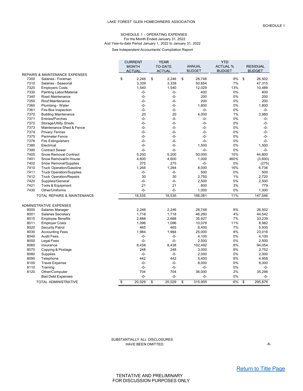## SCHEDULE 1 - OPERATING EXPENSES For the Month Ended January 31, 2022 And Year-to-date Period January 1, 2022 to January 31, 2022

See Independent Accountants' Compilation Report

|      |                                             | <b>CURRENT</b>                    | <b>YEAR</b><br><b>YTD</b> |                |               |                 |               |
|------|---------------------------------------------|-----------------------------------|---------------------------|----------------|---------------|-----------------|---------------|
|      |                                             | <b>MONTH</b>                      |                           | <b>TO-DATE</b> | <b>ANNUAL</b> | <b>ACTUAL %</b> | RESIDUAL      |
|      |                                             | <b>ACTUAL</b>                     |                           | <b>ACTUAL</b>  | <b>BUDGET</b> | <b>BUDGET</b>   | <b>BUDGET</b> |
|      | REPAIRS & MAINTENANCE EXPENSES              |                                   |                           |                |               |                 |               |
| 7300 | Salaries - Foreman                          | \$<br>2,246                       | \$                        | 2,246          | \$<br>28,748  | 8%              | \$<br>26,502  |
| 7310 | Salaries - Seasonal                         | 3,339                             |                           | 3,339          | 50,654        | 7%              | 47,315        |
| 7320 | <b>Employers Costs</b>                      | 1,540                             |                           | 1.540          | 12,029        | 13%             | 10,489        |
| 7330 | Painting Labor/Material                     | $-0-$                             |                           | $-0-$          | 400           | 0%              | 400           |
| 7340 | Road Maintenance                            | $-0-$                             |                           | $-0-$          | 200           | 0%              | 200           |
| 7350 | Roof Maintenance                            | -0-                               |                           | $-0-$          | 200           | 0%              | 200           |
| 7360 | Plumbing - Water                            | $-0-$                             |                           | $-0-$          | 1,800         | 0%              | 1,800         |
| 7361 | Fire Box Inspection                         | -0-                               |                           | $-0-$          | $-0-$         | 0%              | -0-           |
| 7370 | <b>Building Maintenance</b>                 | 20                                |                           | 20             | 4,000         | 1%              | 3,980         |
| 7371 | Entries/Porches                             | $-0-$                             |                           | $-0-$          | $-0-$         | 0%              | $-0-$         |
| 7372 | Storage/Utility Sheds                       | $-0-$                             |                           | $-0-$          | $-0-$         | 0%              | -0-           |
| 7373 | Maintenance Shed & Fence                    | $-0-$                             |                           | $-0-$          | $-0-$         | 0%              | -0-           |
| 7374 | <b>Privacy Fences</b>                       | $-0-$                             |                           | $-0-$          | $-0-$         | 0%              | $-0-$         |
| 7375 | <b>Perimeter Fence</b>                      | $-0-$                             |                           | $-0-$          | $-0-$         | 0%              | -0-           |
| 7376 | <b>Fire Extinguishers</b>                   | -0-                               |                           | $-0-$          | $-0-$         | 0%              | $-0-$         |
| 7380 | Electrical                                  | $-0-$                             |                           | $-0-$          | 1,500         | 0%              | 1,500         |
| 7390 | <b>Contract Sewer</b>                       | $-0-$                             |                           | $-0-$          | $-0-$         | 0%              | $-0-$         |
| 7400 | Snow Removal Contract                       | 5,200                             |                           | 5,200          | 50,000        | 10%             | 44,800        |
| 7401 | Snow Removal/In House                       | 4,600                             |                           | 4,600          | 1,000         | 460%            | (3,600)       |
| 7402 | Snow Removal/Supplies                       | 275                               |                           | 275            | $-0-$         | 0%              | (275)         |
| 7410 | <b>Truck Operation/Gasoline</b>             | 1,264                             |                           | 1,264          | 8,000         | 16%             | 6,736         |
| 7411 | <b>Truck Operation/Supplies</b>             | $-0-$                             |                           | $-0-$          | 500           | 0%              | 500           |
| 7412 | <b>Truck Operation/Repairs</b>              | 30                                |                           | 30             | 2,750         | 1%              | 2,720         |
| 7420 | Supplies/General                            | -0-                               |                           | $-0-$          | 2,500         | 0%              | 2,500         |
| 7421 | Tools & Equipment                           | 21                                |                           | 21             | 800           | 3%              | 779           |
| 7430 | Other/Uniforms                              | $-0-$                             |                           | $-0-$          | 1,000         | 0%              | 1,000         |
|      |                                             | 18,535                            |                           |                |               |                 |               |
|      | TOTAL REPAIRS & MAINTENANCE                 |                                   |                           | 18,535         | 166,081       | 11%             | 147,546       |
|      | <b>ADMINISTRATIVE EXPENSES</b>              |                                   |                           |                |               |                 |               |
| 8000 | Salaries Manager                            | 2,246                             |                           | 2,246          | 28,748        | 8%              | 26,502        |
| 8001 | <b>Salaries Secretary</b>                   | 1,718                             |                           | 1,718          | 46,260        | 4%              | 44,542        |
| 8010 | <b>Employee Benefits</b>                    | 2,688                             |                           | 2,688          | 35,927        | 7%              | 33,239        |
| 8011 | <b>Employer Costs</b>                       | 1,096                             |                           | 1,096          | 10,078        | 11%             | 8,982         |
| 8020 | <b>Security Patrol</b>                      | 465                               |                           | 465            | 6,400         | 7%              | 5,935         |
| 8030 |                                             | 1,984                             |                           | 1,984          | 25,000        | 8%              | 23,016        |
| 8040 | <b>Accounting Fees</b><br><b>Audit Fees</b> | $-0-$                             |                           | $-0-$          | 4,100         | 0%              | 4,100         |
| 8050 |                                             | $-0-$                             |                           | $-0-$          | 2,500         | 0%              | 2,500         |
|      | Legal Fees                                  |                                   |                           |                |               | 8%              |               |
| 8060 | Insurance                                   | 8,438                             |                           | 8,438          | 102,492       |                 | 94,054        |
| 8070 | Copying & Postage                           | 248                               |                           | 248            | 3,000         | 8%<br>0%        | 2,752         |
| 8080 | Supplies                                    | $-0-$                             |                           | $-0-$          | 2,000         |                 | 2,000         |
| 8090 | Telephone                                   | 442                               |                           | 442            | 5,400         | 8%              | 4,958         |
| 8100 | <b>Travel Expense</b>                       | $-0-$                             |                           | $-0-$          | 8,000         | 0%              | 8,000         |
| 8110 | Training                                    | $-0-$                             |                           | $-0-$          | $-0-$         | 0%              | $-0-$         |
| 8120 | Other/Computer                              | 704                               |                           | 704            | 36,000        | 2%              | 35,296        |
|      | <b>Bad Debt Expenses</b>                    | $-0-$                             |                           | $-0-$          | $-0-$         | 0%              | -0-           |
|      | <b>TOTAL ADMINISTRATIVE</b>                 | $\overline{\mathbf{s}}$<br>20,029 | \$                        | 20.029         | \$<br>315.905 | 6%              | \$<br>295.876 |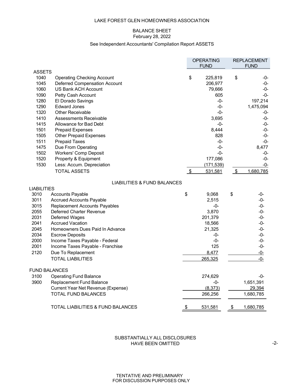# BALANCE SHEET

# February 28, 2022

# See Independent Accountants' Compilation Report ASSETS

<span id="page-6-0"></span>

|                      |                                        |                            | <b>OPERATING</b><br><b>FUND</b> |           | <b>REPLACEMENT</b><br><b>FUND</b> |
|----------------------|----------------------------------------|----------------------------|---------------------------------|-----------|-----------------------------------|
| <b>ASSETS</b>        |                                        |                            |                                 |           |                                   |
| 1040                 | <b>Operating Checking Account</b>      | \$                         | 225,819                         | \$        | -0-                               |
| 1045                 | Deferred Compensation Account          |                            | 206,977                         |           | -0-                               |
| 1060                 | US Bank ACH Account                    |                            | 79,666                          |           | -0-                               |
| 1090                 | Petty Cash Account                     |                            | 605                             |           | -0-                               |
| 1280                 | El Dorado Savings                      |                            | -0-                             |           | 197,214                           |
| 1290                 | <b>Edward Jones</b>                    |                            | $-0-$                           |           | 1,475,094                         |
| 1320                 | <b>Other Receivable</b>                |                            | $-0-$                           |           | -0-                               |
| 1410                 | Assessments Receivable                 |                            | 3,695                           |           | -0-                               |
| 1415                 | Allowance for Bad Debt                 |                            | -0-                             |           | -0-                               |
| 1501                 | <b>Prepaid Expenses</b>                |                            | 8,444                           |           | -0-                               |
| 1505                 | <b>Other Prepaid Expenses</b>          |                            | 828                             |           | -0-                               |
| 1511                 | <b>Prepaid Taxes</b>                   |                            | -0-                             |           | $-0-$                             |
| 1475                 | Due From Operating                     |                            | $-0-$                           |           | 8,477                             |
| 1502                 | <b>Workers' Comp Deposit</b>           |                            | $-0-$                           |           | -0-                               |
| 1520                 | Property & Equipment                   |                            | 177,086                         |           | -0-                               |
| 1530                 | Less: Accum. Depreciation              |                            | (171, 539)                      |           | -0-                               |
|                      | <b>TOTAL ASSETS</b>                    | $\boldsymbol{\mathsf{\$}}$ | 531,581                         | \$        | 1,680,785                         |
|                      | <b>LIABILITIES &amp; FUND BALANCES</b> |                            |                                 |           |                                   |
| LIABILITIES          |                                        |                            |                                 |           |                                   |
| 3010                 | <b>Accounts Payable</b>                | \$                         | 9,068                           | \$        | -0-                               |
| 3011                 | <b>Accrued Accounts Payable</b>        |                            | 2,515                           |           | -0-                               |
| 3015                 | <b>Replacement Accounts Payables</b>   |                            | -0-                             |           | $-0-$                             |
| 2055                 | Deferred Charter Revenue               |                            | 3,870                           |           | -0-                               |
| 2031                 | Deferred Wages                         |                            | 201,379                         |           | -0-                               |
| 2041                 | <b>Accrued Vacation</b>                |                            | 18,566                          |           | $-0-$                             |
| 2045                 | Homeowners Dues Paid In Advance        |                            | 21,325                          |           | -0-                               |
| 2034                 | <b>Escrow Deposits</b>                 |                            | -0-                             |           | -0-                               |
| 2000                 | Income Taxes Payable - Federal         |                            | -0-                             |           | $-0-$                             |
| 2001                 | Income Taxes Payable - Franchise       |                            | 125                             |           | $-0-$                             |
| 2120                 | Due To Replacement                     |                            | 8,477                           |           | -0-                               |
|                      | <b>TOTAL LIABILITIES</b>               |                            | 265,325                         |           | $-0-$                             |
| <b>FUND BALANCES</b> |                                        |                            |                                 |           |                                   |
| 3100                 | <b>Operating Fund Balance</b>          |                            | 274,629                         |           | -0-                               |
| 3900                 | Replacement Fund Balance               |                            | -0-                             |           | 1,651,391                         |
|                      | Current Year Net Revenue (Expense)     |                            | (8, 373)                        |           | 29,394                            |
|                      | <b>TOTAL FUND BALANCES</b>             |                            | 266,256                         |           | 1,680,785                         |
|                      | TOTAL LIABILITIES & FUND BALANCES      | <u>\$</u>                  | 531,581                         | <u>\$</u> | 1,680,785                         |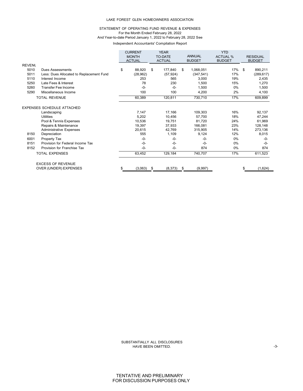## STATEMENT OF OPERATING FUND REVENUE & EXPENSES For the Month Ended February 28, 2022 And Year-to-date Period January 1, 2022 to February 28, 2022 See Independent Accountants' Compilation Report

|               |                                          | <b>CURRENT</b> |    | <b>YEAR</b>    |               |               | <b>YTD</b>      |              |                 |
|---------------|------------------------------------------|----------------|----|----------------|---------------|---------------|-----------------|--------------|-----------------|
|               |                                          | <b>MONTH</b>   |    | <b>TO-DATE</b> |               | <b>ANNUAL</b> | <b>ACTUAL %</b> |              | <b>RESIDUAL</b> |
|               |                                          | <b>ACTUAL</b>  |    | <b>ACTUAL</b>  | <b>BUDGET</b> |               | <b>BUDGET</b>   |              | <b>BUDGET</b>   |
| <b>REVENL</b> |                                          |                |    |                |               |               |                 |              |                 |
| 5010          | Dues Assessments                         | \$<br>88,920   | \$ | 177,840        | \$            | 1,068,051     | 17%             | $\mathbf{s}$ | 890,211         |
| 5011          | Less: Dues Allocated to Replacement Fund | (28, 962)      |    | (57, 924)      |               | (347, 541)    | 17%             |              | (289, 617)      |
| 5110          | Interest Income                          | 253            |    | 565            |               | 3,000         | 19%             |              | 2,435           |
| 5250          | Late Fees & Interest                     | 78             |    | 230            |               | 1.500         | 15%             |              | 1,270           |
| 5260          | <b>Transfer Fee Income</b>               | $-0-$          |    | $-0-$          |               | 1,500         | 0%              |              | 1,500           |
| 5290          | Miscellaneous Income                     | 100            |    | 100            |               | 4,200         | 2%              |              | 4,100           |
|               | <b>TOTAL REVENUE</b>                     | 60,389         |    | 120,811        |               | 730,710       | 17%             |              | 609,899         |
|               | <b>EXPENSES SCHEDULE ATTACHED</b>        |                |    |                |               |               |                 |              |                 |
|               | Landscaping                              | 7,147          |    | 17,166         |               | 109,303       | 16%             |              | 92,137          |
|               | <b>Utilities</b>                         | 5,202          |    | 10.456         |               | 57,700        | 18%             |              | 47,244          |
|               | Pool & Tennis Expenses                   | 10,536         |    | 19.751         |               | 81,720        | 24%             |              | 61,969          |
|               | Repairs & Maintenance                    | 19,397         |    | 37.933         |               | 166.081       | 23%             |              | 128.148         |
|               | <b>Administrative Expenses</b>           | 20,615         |    | 42,769         |               | 315,905       | 14%             |              | 273,136         |
| 8150          | Depreciation                             | 555            |    | 1,109          |               | 9,124         | 12%             |              | 8,015           |
| 6001          | Property Tax                             | $-0-$          |    | $-0-$          |               | $-0-$         | 0%              |              | $-0-$           |
| 8151          | Provision for Federal Income Tax         | $-0-$          |    | $-0-$          |               | $-0-$         | 0%              |              | $-0-$           |
| 8152          | Provision for Franchise Tax              | $-0-$          |    | $-0-$          |               | 874           | 0%              |              | 874             |
|               | <b>TOTAL EXPENSES</b>                    | 63,452         |    | 129,184        |               | 740,707       | 17%             |              | 611,523         |
|               | <b>EXCESS OF REVENUE</b>                 |                |    |                |               |               |                 |              |                 |
|               | OVER (UNDER) EXPENSES                    | (3,063)        | S  | (8,373)        | \$            | (9,997)       |                 | \$           | (1,624)         |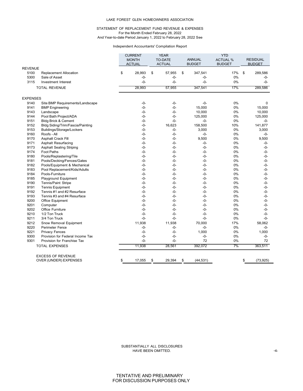## STATEMENT OF REPLACEMENT FUND REVENUE & EXPENSES For the Month Ended February 28, 2022 And Year-to-date Period January 1, 2022 to February 28, 2022 See

## Independent Accountants' Compilation Report

|                 |                                  | <b>CURRENT</b> | <b>YEAR</b> |                | <b>YTD</b>      |                 |    |                 |
|-----------------|----------------------------------|----------------|-------------|----------------|-----------------|-----------------|----|-----------------|
|                 |                                  | <b>MONTH</b>   |             | <b>TO-DATE</b> | <b>ANNUAL</b>   | <b>ACTUAL %</b> |    | <b>RESIDUAL</b> |
|                 |                                  | <b>ACTUAL</b>  |             | <b>ACTUAL</b>  | <b>BUDGET</b>   | <b>BUDGET</b>   |    | <b>BUDGET</b>   |
| <b>REVENUE</b>  |                                  |                |             |                |                 |                 |    |                 |
| 5100            | <b>Replacement Allocation</b>    | \$<br>28,993   | \$          | 57,955         | \$<br>347,541   | 17%             | \$ | 289,586         |
| 5300            | Sale of Asset                    | $-0-$          |             | $-0-$          | $-0-$           | 0%              |    | $-0-$           |
| 3115            | Investment Interest              | $-0-$          |             | $-0-$          | $-0-$           | 0%              |    | $-0-$           |
|                 | <b>TOTAL REVENUE</b>             | 28,993         |             | 57,955         | 347,541         | 17%             |    | 289,586         |
| <b>EXPENSES</b> |                                  |                |             |                |                 |                 |    |                 |
| 9140            | Site BMP Requirements/Landscape  | $-0-$          |             | $-0-$          | $-0-$           | 0%              |    | $\Omega$        |
| 9141            | <b>BMP</b> Engineering           | $-0-$          |             | $-0-$          | 15,000          | 0%              |    | 15,000          |
| 9143            | Landscape                        | $-0-$          |             | -0-            | 10,000          | 0%              |    | 10,000          |
| 9144            | Pool Bath Project/ADA            | -0-            |             | -0-            | 125,000         | 0%              |    | 125,000         |
| 9151            | <b>Bldg Brick &amp; Cement</b>   | $-0-$          |             | $-0-$          | $-0-$           | 0%              |    | $-0-$           |
| 9152            | Bldg Siding/Trim/Fascia/Painting | $-0-$          |             | 16.623         | 158,500         | 10%             |    | 141,877         |
| 9153            | Buildings/Storage/Lockers        | -0-            |             | -0-            | 3,000           | 0%              |    | 3,000           |
| 9160            | Roofs - All                      | $-0-$          |             | -0-            | $-0-$           | 0%              |    | $-0-$           |
| 9170            | Asphalt Crack Fill               | $-0-$          |             | -0-            | 9,500           | 0%              |    | 9,500           |
| 9171            | Asphalt Resurfacing              | -0-            |             | $-0-$          | $-0-$           | 0%              |    | $-0-$           |
| 9173            | <b>Asphalt Sealing Striping</b>  | -0-            |             | $-0-$          | $-0-$           | 0%              |    | $-0-$           |
| 9174            | Foot Paths                       | $-0-$          |             | -0-            | $-0-$           | 0%              |    | $-0-$           |
| 9180            | Pools/Replastering/Tile          | $-0-$          |             | -0-            | $-0-$           | 0%              |    | $-0-$           |
| 9181            | Pools/Decking/Fences/Gates       | -0-            |             | $-0-$          | $-0-$           | 0%              |    | $-0-$           |
| 9182            | Pools/Equipment & Mechanical     | $-0-$          |             | $-0-$          | $-0-$           | 0%              |    | $-0-$           |
| 9183            | Pool Replacement/Kids/Adults     | $-0-$          |             | -0-            | $-0-$           | $0\%$           |    | $-0-$           |
| 9184            | Pools-Furniture                  | -0-            |             | -0-            | $-0-$           | 0%              |    | -0-             |
| 9185            | Playground Equipment             | $-0-$          |             | $-0-$          | $-0-$           | 0%              |    | $-0-$           |
| 9190            | Tennis/Paint Stripe              | $-0-$          |             | $-0-$          | $-0-$           | 0%              |    | $-0-$           |
| 9191            | <b>Tennis Equipment</b>          | -0-            |             | $-0-$          | $-0-$           | 0%              |    | -0-             |
| 9192            | Tennis #1 and #2 Resurface       | $-0-$          |             | -0-            | $-0-$           | 0%              |    | $-0-$           |
| 9193            | Tennis #3 and #4 Resurface       | $-0-$          |             | -0-            | $-0-$           | 0%              |    | -0-             |
| 9200            | Office Equipment                 | $-0-$          |             | -0-            | $-0-$           | 0%              |    | $-0-$           |
| 9201            | Computer                         | $-0-$          |             | $-0-$          | $-0-$           | 0%              |    | $-0-$           |
| 9202            | <b>Office Furniture</b>          | $-0-$          |             | $-0-$          | $-0-$           | 0%              |    | -0-             |
| 9210            | 1/2 Ton Truck                    | $-0-$          |             | -0-            | $-0-$           | 0%              |    | $-0-$           |
| 9211            | 3/4 Ton Truck                    | -0-            |             | -0-            | $-0-$           | 0%              |    | $-0-$           |
| 9212            | Snow Removal Equipment           | 11,938         |             | 11,938         | 70.000          | 17%             |    | 58.062          |
| 9220            | <b>Perimeter Fence</b>           | $-0-$          |             | -0-            | $-0-$           | $0\%$           |    | $-0-$           |
| 9221            | <b>Privacy Fences</b>            | $-0-$          |             | -0-            | 1,000           | 0%              |    | 1,000           |
| 9300            | Provision for Federal Income Tax | $-0-$          |             | $-0-$          | $-0-$           | 0%              |    | $-0-$           |
| 9301            | Provision for Franchise Tax      | $-0-$          |             | $-0-$          | 72              | 0%              |    | 72              |
|                 | <b>TOTAL EXPENSES</b>            | 11,938         |             | 28,561         | 392,072         | 7%              |    | 363,511         |
|                 |                                  |                |             |                |                 |                 |    |                 |
|                 | <b>EXCESS OF REVENUE</b>         | \$<br>17,055   | \$          | 29,394         | \$<br>(44, 531) |                 | \$ | (73, 925)       |
|                 | OVER (UNDER) EXPENSES            |                |             |                |                 |                 |    |                 |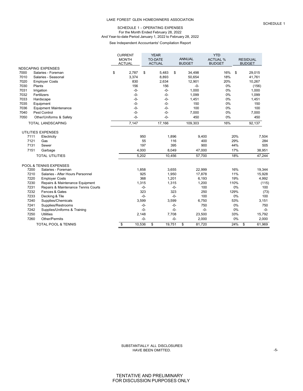## SCHEDULE 1 - OPERATING EXPENSES For the Month Ended February 28, 2022 And Year-to-date Period January 1, 2022 to February 28, 2022

See Independent Accountants' Compilation Report

|      |                                     | <b>CURRENT</b><br><b>MONTH</b><br><b>ACTUAL</b> |       | <b>YEAR</b><br><b>TO-DATE</b><br><b>ACTUAL</b> |       | <b>ANNUAL</b><br><b>BUDGET</b> | <b>YTD</b><br><b>ACTUAL %</b><br><b>BUDGET</b> | <b>RESIDUAL</b><br><b>BUDGET</b> |       |        |
|------|-------------------------------------|-------------------------------------------------|-------|------------------------------------------------|-------|--------------------------------|------------------------------------------------|----------------------------------|-------|--------|
|      | <b>NDSCAPING EXPENSES</b>           |                                                 |       |                                                |       |                                |                                                |                                  |       |        |
| 7000 | Salaries - Foreman                  | \$<br>2,787                                     | \$    | 5,483                                          | \$    | 34,498                         | 16%                                            | \$                               |       | 29,015 |
| 7010 | Salaries - Seasonal                 | 3,374                                           |       | 8,893                                          |       | 50,654                         | 18%                                            |                                  |       | 41,761 |
| 7020 | <b>Employer Costs</b>               | 830                                             |       | 2,634                                          |       | 12,901                         | 20%                                            |                                  |       | 10,267 |
| 7030 | Plants                              | 156                                             |       | 156                                            |       | -0-                            | 0%                                             |                                  |       | (156)  |
| 7031 | Irrigation                          | $-0-$                                           |       | $-0-$                                          |       | 1,000                          | 0%                                             |                                  |       | 1,000  |
| 7032 | Fertilizers                         | $-0-$                                           |       | $-0-$                                          |       | 1,099                          | 0%                                             |                                  |       | 1,099  |
| 7033 | Hardscape                           | $-0-$                                           |       | $-0-$                                          |       | 1,451                          | 0%                                             |                                  | 1,451 |        |
| 7035 | Equipment                           | $-0-$                                           |       | $-0-$                                          |       | 150                            | 0%                                             |                                  |       | 150    |
| 7036 | <b>Equipment Maintenance</b>        | $-0-$                                           |       | $-0-$                                          |       | 100                            | 0%                                             |                                  |       | 100    |
| 7040 | <b>Pest Control</b>                 | $-0-$                                           |       | $-0-$                                          |       | 7,000                          | 0%                                             |                                  |       | 7,000  |
| 7050 | Other/Uniforms & Safety             | $-0-$                                           |       | $-0-$                                          |       | 450                            | 0%                                             |                                  |       | 450    |
|      | <b>TOTAL LANDSCAPING</b>            | 7,147                                           |       | 17,166                                         |       | 109,303                        | 16%                                            |                                  |       | 92,137 |
|      | UTILITIES EXPENSES                  |                                                 |       |                                                |       |                                |                                                |                                  |       |        |
| 7111 | Electricity                         |                                                 | 950   | 1,896                                          |       | 9,400                          |                                                | 20%                              |       | 7,504  |
| 7121 | Gas                                 |                                                 | 55    |                                                | 116   | 400                            |                                                | 29%                              |       | 284    |
| 7131 | Sewer                               |                                                 | 197   |                                                | 395   | 900                            |                                                | 44%                              |       | 505    |
| 7151 | Garbage                             |                                                 | 4,000 | 8,049                                          |       | 47,000                         |                                                | 17%                              |       | 38,951 |
|      | <b>TOTAL UTILITIES</b>              |                                                 | 5,202 | 10,456                                         |       | 57,700                         |                                                | 18%                              |       | 47,244 |
|      | POOL & TENNIS EXPENSES              |                                                 |       |                                                |       |                                |                                                |                                  |       |        |
| 7200 | Salaries - Foreman                  |                                                 | 1,858 | 3,655                                          |       | 22,999                         |                                                | 16%                              |       | 19,344 |
| 7210 | Salaries - After Hours Personnel    |                                                 | 925   | 1,950                                          |       | 17,878                         |                                                | 11%                              |       | 15,928 |
| 7220 | <b>Employer Costs</b>               |                                                 | 368   | 1,201                                          |       | 6,193                          |                                                | 19%                              |       | 4,992  |
| 7230 | Repairs & Maintenance Equipment     |                                                 | 1,315 | 1,315                                          |       | 1,200                          |                                                | 110%                             |       | (115)  |
| 7231 | Repairs & Maintenance Tennis Courts |                                                 | $-0-$ |                                                | $-0-$ | 100                            |                                                | 0%                               |       | 100    |
| 7232 | Fences & Gates                      |                                                 | 323   |                                                | 323   | 250                            |                                                | 129%                             |       | (73)   |
| 7233 | Decking & Tile                      |                                                 | $-0-$ |                                                | $-0-$ | 100                            |                                                | 0%                               |       | 100    |
| 7240 | Supplies/Chemicals                  |                                                 | 3,599 | 3,599                                          |       | 6,750                          |                                                | 53%                              |       | 3,151  |
| 7241 | Supplies/Restrooms                  |                                                 | $-0-$ |                                                | $-0-$ | 750                            |                                                | 0%                               |       | 750    |
| 7242 | Supplies/Uniforms & Training        |                                                 | $-0-$ |                                                | $-0-$ | $-0-$                          |                                                | 0%                               |       | $-0-$  |
| 7250 | <b>Utilities</b>                    |                                                 | 2,148 | 7,708                                          |       | 23,500                         |                                                | 33%                              |       | 15,792 |
| 7260 | Other/Permits                       |                                                 | $-0-$ |                                                | $-0-$ | 2,000                          |                                                | 0%                               |       | 2,000  |
|      | <b>TOTAL POOL &amp; TENNIS</b>      | \$<br>10,536                                    |       | \$<br>19,751                                   |       | \$<br>81,720                   |                                                | 24%                              | \$    | 61,969 |